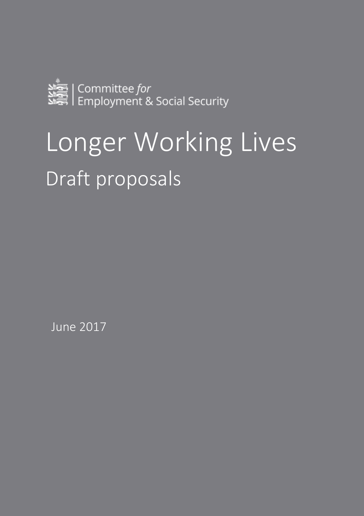

# Longer Working Lives Draft proposals

June 2017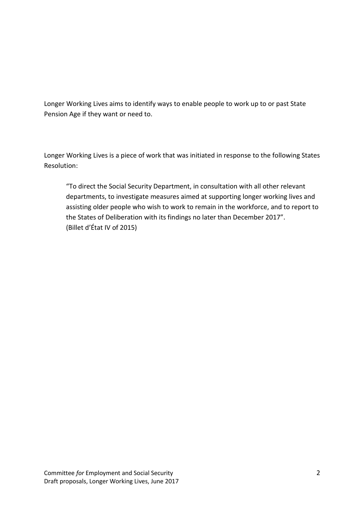Longer Working Lives aims to identify ways to enable people to work up to or past State Pension Age if they want or need to.

Longer Working Lives is a piece of work that was initiated in response to the following States Resolution:

"To direct the Social Security Department, in consultation with all other relevant departments, to investigate measures aimed at supporting longer working lives and assisting older people who wish to work to remain in the workforce, and to report to the States of Deliberation with its findings no later than December 2017". (Billet d'État IV of 2015)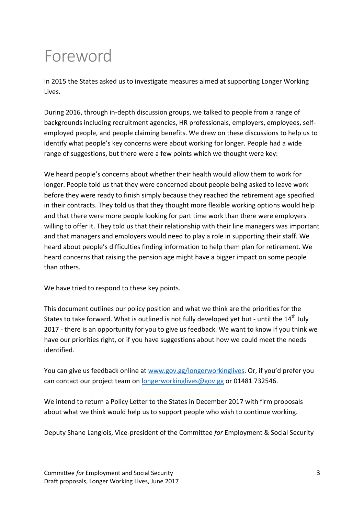## Foreword

In 2015 the States asked us to investigate measures aimed at supporting Longer Working Lives.

During 2016, through in-depth discussion groups, we talked to people from a range of backgrounds including recruitment agencies, HR professionals, employers, employees, selfemployed people, and people claiming benefits. We drew on these discussions to help us to identify what people's key concerns were about working for longer. People had a wide range of suggestions, but there were a few points which we thought were key:

We heard people's concerns about whether their health would allow them to work for longer. People told us that they were concerned about people being asked to leave work before they were ready to finish simply because they reached the retirement age specified in their contracts. They told us that they thought more flexible working options would help and that there were more people looking for part time work than there were employers willing to offer it. They told us that their relationship with their line managers was important and that managers and employers would need to play a role in supporting their staff. We heard about people's difficulties finding information to help them plan for retirement. We heard concerns that raising the pension age might have a bigger impact on some people than others.

We have tried to respond to these key points.

This document outlines our policy position and what we think are the priorities for the States to take forward. What is outlined is not fully developed yet but - until the 14<sup>th</sup> July 2017 - there is an opportunity for you to give us feedback. We want to know if you think we have our priorities right, or if you have suggestions about how we could meet the needs identified.

You can give us feedback online at [www.gov.gg/longerworkinglives](http://www.gov.gg/longerworkinglives). Or, if you'd prefer you can contact our project team on [longerworkinglives@gov.gg](mailto:longerworkinglives@gov.gg) or 01481 732546.

We intend to return a Policy Letter to the States in December 2017 with firm proposals about what we think would help us to support people who wish to continue working.

Deputy Shane Langlois, Vice-president of the Committee *for* Employment & Social Security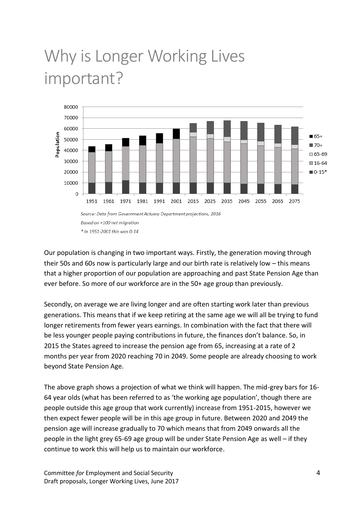# Why is Longer Working Lives important?



Our population is changing in two important ways. Firstly, the generation moving through their 50s and 60s now is particularly large and our birth rate is relatively low – this means that a higher proportion of our population are approaching and past State Pension Age than ever before. So more of our workforce are in the 50+ age group than previously.

Secondly, on average we are living longer and are often starting work later than previous generations. This means that if we keep retiring at the same age we will all be trying to fund longer retirements from fewer years earnings. In combination with the fact that there will be less younger people paying contributions in future, the finances don't balance. So, in 2015 the States agreed to increase the pension age from 65, increasing at a rate of 2 months per year from 2020 reaching 70 in 2049. Some people are already choosing to work beyond State Pension Age.

The above graph shows a projection of what we think will happen. The mid-grey bars for 16- 64 year olds (what has been referred to as 'the working age population', though there are people outside this age group that work currently) increase from 1951-2015, however we then expect fewer people will be in this age group in future. Between 2020 and 2049 the pension age will increase gradually to 70 which means that from 2049 onwards all the people in the light grey 65-69 age group will be under State Pension Age as well – if they continue to work this will help us to maintain our workforce.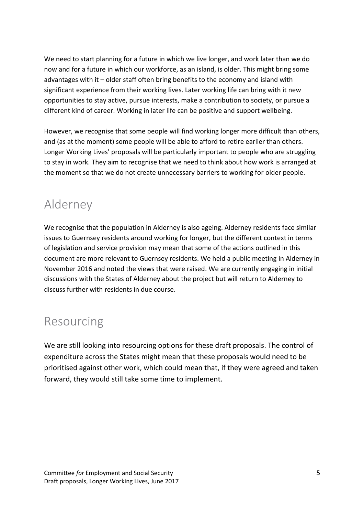We need to start planning for a future in which we live longer, and work later than we do now and for a future in which our workforce, as an island, is older. This might bring some advantages with it – older staff often bring benefits to the economy and island with significant experience from their working lives. Later working life can bring with it new opportunities to stay active, pursue interests, make a contribution to society, or pursue a different kind of career. Working in later life can be positive and support wellbeing.

However, we recognise that some people will find working longer more difficult than others, and (as at the moment) some people will be able to afford to retire earlier than others. Longer Working Lives' proposals will be particularly important to people who are struggling to stay in work. They aim to recognise that we need to think about how work is arranged at the moment so that we do not create unnecessary barriers to working for older people.

### Alderney

We recognise that the population in Alderney is also ageing. Alderney residents face similar issues to Guernsey residents around working for longer, but the different context in terms of legislation and service provision may mean that some of the actions outlined in this document are more relevant to Guernsey residents. We held a public meeting in Alderney in November 2016 and noted the views that were raised. We are currently engaging in initial discussions with the States of Alderney about the project but will return to Alderney to discuss further with residents in due course.

### Resourcing

We are still looking into resourcing options for these draft proposals. The control of expenditure across the States might mean that these proposals would need to be prioritised against other work, which could mean that, if they were agreed and taken forward, they would still take some time to implement.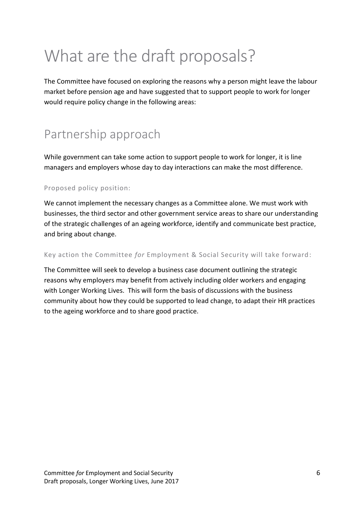# What are the draft proposals?

The Committee have focused on exploring the reasons why a person might leave the labour market before pension age and have suggested that to support people to work for longer would require policy change in the following areas:

### Partnership approach

While government can take some action to support people to work for longer, it is line managers and employers whose day to day interactions can make the most difference.

### Proposed policy position:

We cannot implement the necessary changes as a Committee alone. We must work with businesses, the third sector and other government service areas to share our understanding of the strategic challenges of an ageing workforce, identify and communicate best practice, and bring about change.

### Key action the Committee *for* Employment & Social Security will take forward:

The Committee will seek to develop a business case document outlining the strategic reasons why employers may benefit from actively including older workers and engaging with Longer Working Lives. This will form the basis of discussions with the business community about how they could be supported to lead change, to adapt their HR practices to the ageing workforce and to share good practice.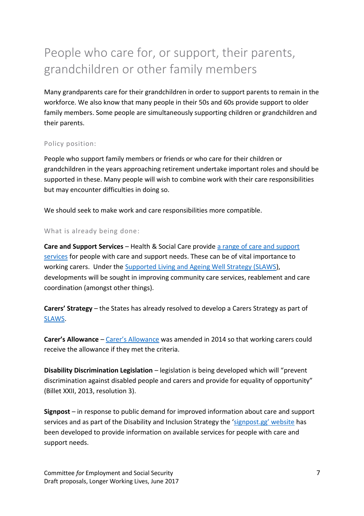### People who care for, or support, their parents, grandchildren or other family members

Many grandparents care for their grandchildren in order to support parents to remain in the workforce. We also know that many people in their 50s and 60s provide support to older family members. Some people are simultaneously supporting children or grandchildren and their parents.

### Policy position:

People who support family members or friends or who care for their children or grandchildren in the years approaching retirement undertake important roles and should be supported in these. Many people will wish to combine work with their care responsibilities but may encounter difficulties in doing so.

We should seek to make work and care responsibilities more compatible.

#### What is already being done:

**Care and Support Services** – Health & Social Care provide [a range of care and support](http://signpost.gg/communityteams)  [services](http://signpost.gg/communityteams) for people with care and support needs. These can be of vital importance to working carers. Under the [Supported Living and Ageing Well Strategy \(SLAWS\)](https://gov.gg/CHttpHandler.ashx?id=99841&p=0), developments will be sought in improving community care services, reablement and care coordination (amongst other things).

**Carers' Strategy** *–* the States has already resolved to develop a Carers Strategy as part of [SLAWS.](https://gov.gg/CHttpHandler.ashx?id=99841&p=0)

**Carer's Allowance** *–* Carer'[s Allowance](https://gov.gg/carebenefits) was amended in 2014 so that working carers could receive the allowance if they met the criteria.

**Disability Discrimination Legislation** *–* legislation is being developed which will "prevent discrimination against disabled people and carers and provide for equality of opportunity" (Billet XXII, 2013, resolution 3).

**Signpost** *–* in response to public demand for improved information about care and support services and as part of the Disability and Inclusion Strategy the ['signpost.gg' website](http://signpost.gg/adults-homepage) has been developed to provide information on available services for people with care and support needs.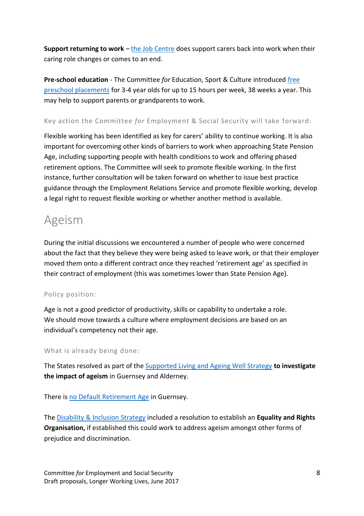**Support returning to work** *–* [the Job Centre](https://gov.gg/jobcentrevacancies?sort=Relevance&size=10&page=1#top) does support carers back into work when their caring role changes or comes to an end.

**Pre-school education** *-* The Committee *for* Education, Sport & Culture introduced [free](https://gov.gg/preschool)  [preschool placements](https://gov.gg/preschool) for 3-4 year olds for up to 15 hours per week, 38 weeks a year. This may help to support parents or grandparents to work.

### Key action the Committee *for* Employment & Social Security will take forward:

Flexible working has been identified as key for carers' ability to continue working. It is also important for overcoming other kinds of barriers to work when approaching State Pension Age, including supporting people with health conditions to work and offering phased retirement options. The Committee will seek to promote flexible working. In the first instance, further consultation will be taken forward on whether to issue best practice guidance through the Employment Relations Service and promote flexible working, develop a legal right to request flexible working or whether another method is available.

### Ageism

During the initial discussions we encountered a number of people who were concerned about the fact that they believe they were being asked to leave work, or that their employer moved them onto a different contract once they reached 'retirement age' as specified in their contract of employment (this was sometimes lower than State Pension Age).

### Policy position:

Age is not a good predictor of productivity, skills or capability to undertake a role. We should move towards a culture where employment decisions are based on an individual's competency not their age.

### What is already being done:

The States resolved as part of th[e Supported Living and Ageing Well Strategy](https://gov.gg/CHttpHandler.ashx?id=99841&p=0) **to investigate the impact of ageism** in Guernsey and Alderney.

There is [no Default Retirement Age](https://gov.gg/CHttpHandler.ashx?id=102345&p=0) in Guernsey.

The [Disability & Inclusion Strategy](https://gov.gg/article/152970/Disability-and-Inclusion-Strategy) included a resolution to establish an **Equality and Rights Organisation,** if established this could work to address ageism amongst other forms of prejudice and discrimination.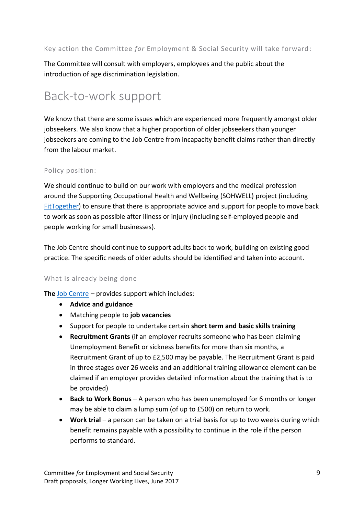### Key action the Committee *for* Employment & Social Security will take forward:

The Committee will consult with employers, employees and the public about the introduction of age discrimination legislation.

### Back-to-work support

We know that there are some issues which are experienced more frequently amongst older jobseekers. We also know that a higher proportion of older jobseekers than younger jobseekers are coming to the Job Centre from incapacity benefit claims rather than directly from the labour market.

### Policy position:

We should continue to build on our work with employers and the medical profession around the Supporting Occupational Health and Wellbeing (SOHWELL) project (including [FitTogether\)](https://www.gov.gg/fittogether) to ensure that there is appropriate advice and support for people to move back to work as soon as possible after illness or injury (including self-employed people and people working for small businesses).

The Job Centre should continue to support adults back to work, building on existing good practice. The specific needs of older adults should be identified and taken into account.

### What is already being done

**The** [Job Centre](https://www.gov.gg/jobcentrevacancies) *–* provides support which includes:

- **Advice and guidance**
- Matching people to **job vacancies**
- Support for people to undertake certain **short term and basic skills training**
- **Recruitment Grants** (if an employer recruits someone who has been claiming Unemployment Benefit or sickness benefits for more than six months, a Recruitment Grant of up to £2,500 may be payable. The Recruitment Grant is paid in three stages over 26 weeks and an additional training allowance element can be claimed if an employer provides detailed information about the training that is to be provided)
- **Back to Work Bonus** A person who has been unemployed for 6 months or longer may be able to claim a lump sum (of up to £500) on return to work.
- **Work trial** a person can be taken on a trial basis for up to two weeks during which benefit remains payable with a possibility to continue in the role if the person performs to standard.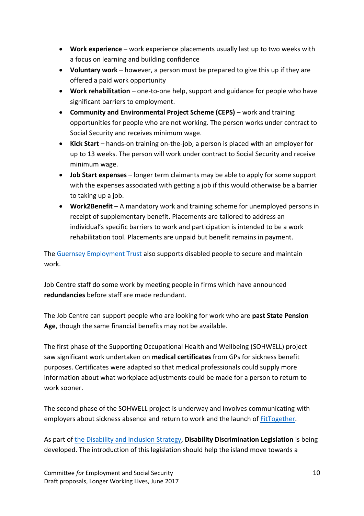- **Work experience** work experience placements usually last up to two weeks with a focus on learning and building confidence
- **Voluntary work** however, a person must be prepared to give this up if they are offered a paid work opportunity
- **Work rehabilitation** *–* one-to-one help, support and guidance for people who have significant barriers to employment.
- **Community and Environmental Project Scheme (CEPS)** work and training opportunities for people who are not working. The person works under contract to Social Security and receives minimum wage.
- **Kick Start** *–* hands-on training on-the-job, a person is placed with an employer for up to 13 weeks. The person will work under contract to Social Security and receive minimum wage.
- **Job Start expenses** *–* longer term claimants may be able to apply for some support with the expenses associated with getting a job if this would otherwise be a barrier to taking up a job.
- **Work2Benefit** *–* A mandatory work and training scheme for unemployed persons in receipt of supplementary benefit. Placements are tailored to address an individual's specific barriers to work and participation is intended to be a work rehabilitation tool. Placements are unpaid but benefit remains in payment.

The [Guernsey Employment Trust](http://www.get.org.gg/) also supports disabled people to secure and maintain work.

Job Centre staff do some work by meeting people in firms which have announced **redundancies** before staff are made redundant.

The Job Centre can support people who are looking for work who are **past State Pension Age**, though the same financial benefits may not be available.

The first phase of the Supporting Occupational Health and Wellbeing (SOHWELL) project saw significant work undertaken on **medical certificates** from GPs for sickness benefit purposes. Certificates were adapted so that medical professionals could supply more information about what workplace adjustments could be made for a person to return to work sooner.

The second phase of the SOHWELL project is underway and involves communicating with employers about sickness absence and return to work and the launch of [FitTogether.](https://www.gov.gg/fittogether)

As part of [the Disability and Inclusion](https://gov.gg/article/152970/Disability-and-Inclusion-Strategy) Strategy, **Disability Discrimination Legislation** is being developed. The introduction of this legislation should help the island move towards a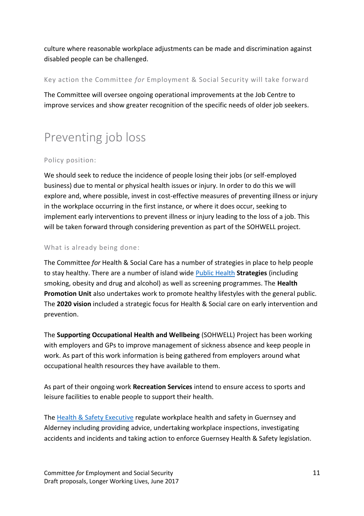culture where reasonable workplace adjustments can be made and discrimination against disabled people can be challenged.

### Key action the Committee *for* Employment & Social Security will take forward

The Committee will oversee ongoing operational improvements at the Job Centre to improve services and show greater recognition of the specific needs of older job seekers.

### Preventing job loss

### Policy position:

We should seek to reduce the incidence of people losing their jobs (or self-employed business) due to mental or physical health issues or injury. In order to do this we will explore and, where possible, invest in cost-effective measures of preventing illness or injury in the workplace occurring in the first instance, or where it does occur, seeking to implement early interventions to prevent illness or injury leading to the loss of a job. This will be taken forward through considering prevention as part of the SOHWELL project.

### What is already being done:

The Committee *for* Health & Social Care has a number of strategies in place to help people to stay healthy. There are a number of island wide [Public Health](https://gov.gg/article/120360/Public-Health-and-Seeking-Support) **Strategies** (including smoking, obesity and drug and alcohol) as well as screening programmes. The **Health Promotion Unit** also undertakes work to promote healthy lifestyles with the general public. The **2020 vision** included a strategic focus for Health & Social care on early intervention and prevention.

The **Supporting Occupational Health and Wellbeing** (SOHWELL) Project has been working with employers and GPs to improve management of sickness absence and keep people in work. As part of this work information is being gathered from employers around what occupational health resources they have available to them.

As part of their ongoing work **Recreation Services** intend to ensure access to sports and leisure facilities to enable people to support their health.

The [Health & Safety Executive](http://www.hse.gg/) regulate workplace health and safety in Guernsey and Alderney including providing advice, undertaking workplace inspections, investigating accidents and incidents and taking action to enforce Guernsey Health & Safety legislation.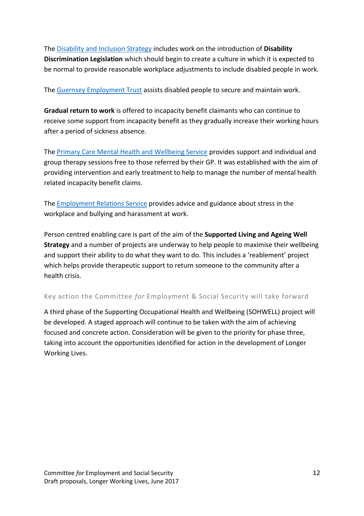The [Disability and Inclusion Strategy](https://gov.gg/article/152970/Disability-and-Inclusion-Strategy) includes work on the introduction of **Disability Discrimination Legislation** which should begin to create a culture in which it is expected to be normal to provide reasonable workplace adjustments to include disabled people in work.

The [Guernsey Employment Trust](http://www.get.org.gg/) assists disabled people to secure and maintain work.

**Gradual return to work** is offered to incapacity benefit claimants who can continue to receive some support from incapacity benefit as they gradually increase their working hours after a period of sickness absence.

The [Primary Care Mental Health and Wellbeing Service](https://www.gov.gg/article/120846/Mental-Health) provides support and individual and group therapy sessions free to those referred by their GP. It was established with the aim of providing intervention and early treatment to help to manage the number of mental health related incapacity benefit claims.

The [Employment Relations Service](https://www.gov.gg/employmentrelations) provides advice and guidance about stress in the workplace and bullying and harassment at work.

Person centred enabling care is part of the aim of the **Supported Living and Ageing Well Strategy** and a number of projects are underway to help people to maximise their wellbeing and support their ability to do what they want to do. This includes a 'reablement' project which helps provide therapeutic support to return someone to the community after a health crisis.

Key action the Committee *for* Employment & Social Security will take forward

A third phase of the Supporting Occupational Health and Wellbeing (SOHWELL) project will be developed. A staged approach will continue to be taken with the aim of achieving focused and concrete action. Consideration will be given to the priority for phase three, taking into account the opportunities identified for action in the development of Longer Working Lives.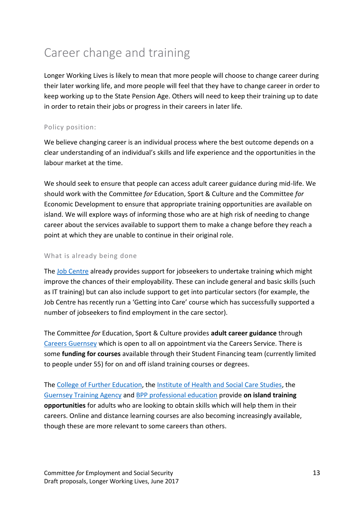### Career change and training

Longer Working Lives is likely to mean that more people will choose to change career during their later working life, and more people will feel that they have to change career in order to keep working up to the State Pension Age. Others will need to keep their training up to date in order to retain their jobs or progress in their careers in later life.

### Policy position:

We believe changing career is an individual process where the best outcome depends on a clear understanding of an individual's skills and life experience and the opportunities in the labour market at the time.

We should seek to ensure that people can access adult career guidance during mid-life. We should work with the Committee *for* Education, Sport & Culture and the Committee *for* Economic Development to ensure that appropriate training opportunities are available on island. We will explore ways of informing those who are at high risk of needing to change career about the services available to support them to make a change before they reach a point at which they are unable to continue in their original role.

#### What is already being done

The [Job Centre](https://www.gov.gg/jobcentrevacancies) already provides support for jobseekers to undertake training which might improve the chances of their employability. These can include general and basic skills (such as IT training) but can also include support to get into particular sectors (for example, the Job Centre has recently run a 'Getting into Care' course which has successfully supported a number of jobseekers to find employment in the care sector).

The Committee *for* Education, Sport & Culture provides **adult career guidance** through [Careers Guernsey](http://www.careers.gg/) which is open to all on appointment via the Careers Service. There is some **funding for courses** available through their Student Financing team (currently limited to people under 55) for on and off island training courses or degrees.

The [College of Further Education,](http://www.guernseycollege.ac.gg/wp/) th[e Institute of Health and Social Care Studies,](https://www.gov.gg/theinstitute) the [Guernsey Training Agency](https://www.gta.gg/) and [BPP professional education](http://www.bpp.com/professional-education) provide **on island training opportunities** for adults who are looking to obtain skills which will help them in their careers. Online and distance learning courses are also becoming increasingly available, though these are more relevant to some careers than others.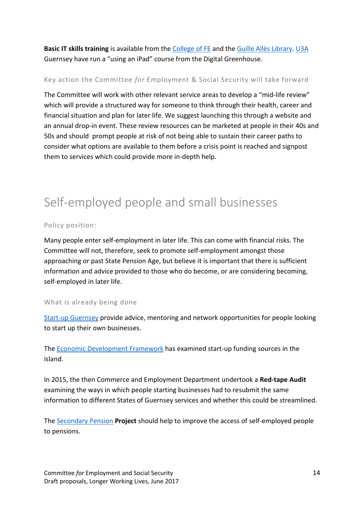**Basic IT skills training** is available from the [College of FE](http://www.guernseycollege.ac.gg/wp/adult-community-education/) and the [Guille Allès Library.](http://www.library.gg/computers-and-wi-fi) [U3A](http://u3asited.org.uk/code/u3asite.php?site=858&page=0) Guernsey have run a "using an iPad" course from the Digital Greenhouse.

### Key action the Committee *for* Employment & Social Security will take forward

The Committee will work with other relevant service areas to develop a "mid-life review" which will provide a structured way for someone to think through their health, career and financial situation and plan for later life. We suggest launching this through a website and an annual drop-in event. These review resources can be marketed at people in their 40s and 50s and should prompt people at risk of not being able to sustain their career paths to consider what options are available to them before a crisis point is reached and signpost them to services which could provide more in-depth help.

### Self-employed people and small businesses

### Policy position:

Many people enter self-employment in later life. This can come with financial risks. The Committee will not, therefore, seek to promote self-employment amongst those approaching or past State Pension Age, but believe it is important that there is sufficient information and advice provided to those who do become, or are considering becoming, self-employed in later life.

### What is already being done

[Start-up Guernsey](http://www.startup.gg/) provide advice, mentoring and network opportunities for people looking to start up their own businesses.

The [Economic Development Framework](https://www.gov.gg/article/152943/Economic-Development-Strategy) has examined start-up funding sources in the island.

In 2015, the then Commerce and Employment Department undertook a **Red-tape Audit** examining the ways in which people starting businesses had to resubmit the same information to different States of Guernsey services and whether this could be streamlined.

The [Secondary Pension](https://www.gov.gg/secondarypensions) **Project** should help to improve the access of self-employed people to pensions.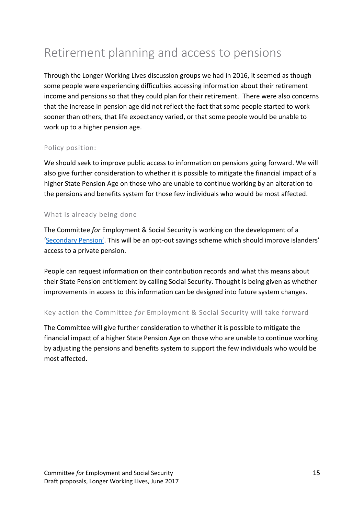### Retirement planning and access to pensions

Through the Longer Working Lives discussion groups we had in 2016, it seemed as though some people were experiencing difficulties accessing information about their retirement income and pensions so that they could plan for their retirement. There were also concerns that the increase in pension age did not reflect the fact that some people started to work sooner than others, that life expectancy varied, or that some people would be unable to work up to a higher pension age.

### Policy position:

We should seek to improve public access to information on pensions going forward. We will also give further consideration to whether it is possible to mitigate the financial impact of a higher State Pension Age on those who are unable to continue working by an alteration to the pensions and benefits system for those few individuals who would be most affected.

#### What is already being done

The Committee *for* Employment & Social Security is working on the development of a ['Secondary Pension'](https://www.gov.gg/secondarypensions). This will be an opt-out savings scheme which should improve islanders' access to a private pension.

People can request information on their contribution records and what this means about their State Pension entitlement by calling Social Security. Thought is being given as whether improvements in access to this information can be designed into future system changes.

### Key action the Committee *for* Employment & Social Security will take forward

The Committee will give further consideration to whether it is possible to mitigate the financial impact of a higher State Pension Age on those who are unable to continue working by adjusting the pensions and benefits system to support the few individuals who would be most affected.